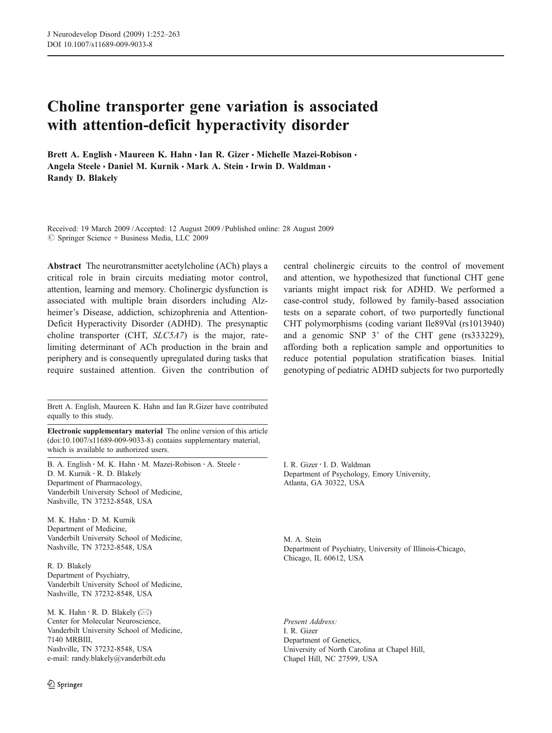# Choline transporter gene variation is associated with attention-deficit hyperactivity disorder

Brett A. English • Maureen K. Hahn • Ian R. Gizer • Michelle Mazei-Robison • Angela Steele · Daniel M. Kurnik · Mark A. Stein · Irwin D. Waldman · Randy D. Blakely

Received: 19 March 2009 /Accepted: 12 August 2009 / Published online: 28 August 2009  $\circledcirc$  Springer Science + Business Media, LLC 2009

Abstract The neurotransmitter acetylcholine (ACh) plays a critical role in brain circuits mediating motor control, attention, learning and memory. Cholinergic dysfunction is associated with multiple brain disorders including Alzheimer's Disease, addiction, schizophrenia and Attention-Deficit Hyperactivity Disorder (ADHD). The presynaptic choline transporter (CHT, SLC5A7) is the major, ratelimiting determinant of ACh production in the brain and periphery and is consequently upregulated during tasks that require sustained attention. Given the contribution of

Brett A. English, Maureen K. Hahn and Ian R.Gizer have contributed equally to this study.

Electronic supplementary material The online version of this article (doi:[10.1007/s11689-009-9033-8\)](http://dx.doi.org/10.1007/s11689-009-9033-8) contains supplementary material, which is available to authorized users.

B. A. English : M. K. Hahn : M. Mazei-Robison : A. Steele : D. M. Kurnik : R. D. Blakely Department of Pharmacology, Vanderbilt University School of Medicine, Nashville, TN 37232-8548, USA

M. K. Hahn : D. M. Kurnik Department of Medicine, Vanderbilt University School of Medicine, Nashville, TN 37232-8548, USA

R. D. Blakely Department of Psychiatry, Vanderbilt University School of Medicine, Nashville, TN 37232-8548, USA

M. K. Hahn : R. D. Blakely (*\**) Center for Molecular Neuroscience, Vanderbilt University School of Medicine, 7140 MRBIII, Nashville, TN 37232-8548, USA e-mail: randy.blakely@vanderbilt.edu

central cholinergic circuits to the control of movement and attention, we hypothesized that functional CHT gene variants might impact risk for ADHD. We performed a case-control study, followed by family-based association tests on a separate cohort, of two purportedly functional CHT polymorphisms (coding variant Ile89Val (rs1013940) and a genomic SNP 3' of the CHT gene (rs333229), affording both a replication sample and opportunities to reduce potential population stratification biases. Initial genotyping of pediatric ADHD subjects for two purportedly

I. R. Gizer : I. D. Waldman Department of Psychology, Emory University, Atlanta, GA 30322, USA

M. A. Stein Department of Psychiatry, University of Illinois-Chicago, Chicago, IL 60612, USA

Present Address: I. R. Gizer Department of Genetics, University of North Carolina at Chapel Hill, Chapel Hill, NC 27599, USA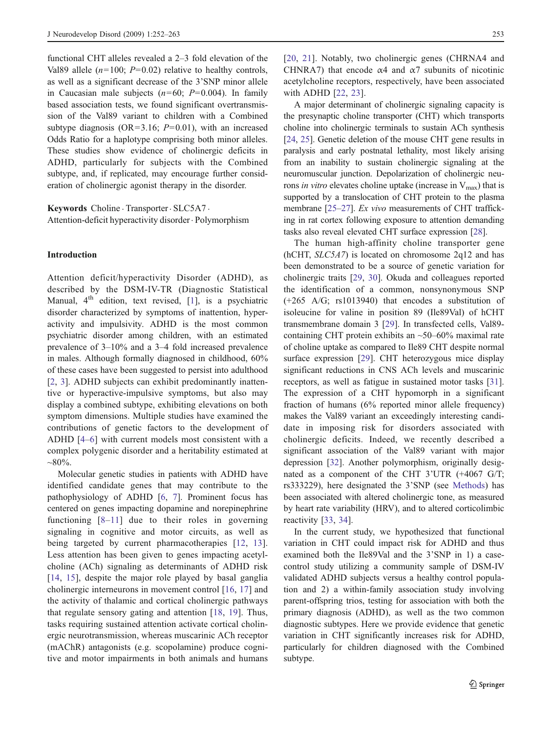functional CHT alleles revealed a 2–3 fold elevation of the Val89 allele  $(n=100; P=0.02)$  relative to healthy controls, as well as a significant decrease of the 3'SNP minor allele in Caucasian male subjects  $(n=60; P=0.004)$ . In family based association tests, we found significant overtransmission of the Val89 variant to children with a Combined subtype diagnosis (OR=3.16;  $P=0.01$ ), with an increased Odds Ratio for a haplotype comprising both minor alleles. These studies show evidence of cholinergic deficits in ADHD, particularly for subjects with the Combined subtype, and, if replicated, may encourage further consideration of cholinergic agonist therapy in the disorder.

Keywords Choline . Transporter . SLC5A7 . Attention-deficit hyperactivity disorder. Polymorphism

## Introduction

Attention deficit/hyperactivity Disorder (ADHD), as described by the DSM-IV-TR (Diagnostic Statistical Manual,  $4<sup>th</sup>$  edition, text revised, [\[1](#page-9-0)], is a psychiatric disorder characterized by symptoms of inattention, hyperactivity and impulsivity. ADHD is the most common psychiatric disorder among children, with an estimated prevalence of 3–10% and a 3–4 fold increased prevalence in males. Although formally diagnosed in childhood, 60% of these cases have been suggested to persist into adulthood [\[2](#page-9-0), [3](#page-9-0)]. ADHD subjects can exhibit predominantly inattentive or hyperactive-impulsive symptoms, but also may display a combined subtype, exhibiting elevations on both symptom dimensions. Multiple studies have examined the contributions of genetic factors to the development of ADHD [[4](#page-9-0)–[6](#page-9-0)] with current models most consistent with a complex polygenic disorder and a heritability estimated at  $~80\%$ .

Molecular genetic studies in patients with ADHD have identified candidate genes that may contribute to the pathophysiology of ADHD [[6,](#page-9-0) [7](#page-9-0)]. Prominent focus has centered on genes impacting dopamine and norepinephrine functioning [[8](#page-9-0)–[11](#page-9-0)] due to their roles in governing signaling in cognitive and motor circuits, as well as being targeted by current pharmacotherapies [[12](#page-9-0), [13](#page-9-0)]. Less attention has been given to genes impacting acetylcholine (ACh) signaling as determinants of ADHD risk [\[14,](#page-9-0) [15\]](#page-9-0), despite the major role played by basal ganglia cholinergic interneurons in movement control [[16](#page-9-0), [17\]](#page-9-0) and the activity of thalamic and cortical cholinergic pathways that regulate sensory gating and attention [\[18](#page-9-0), [19\]](#page-9-0). Thus, tasks requiring sustained attention activate cortical cholinergic neurotransmission, whereas muscarinic ACh receptor (mAChR) antagonists (e.g. scopolamine) produce cognitive and motor impairments in both animals and humans [\[20,](#page-9-0) [21\]](#page-9-0). Notably, two cholinergic genes (CHRNA4 and CHNRA7) that encode  $\alpha$ 4 and  $\alpha$ 7 subunits of nicotinic acetylcholine receptors, respectively, have been associated with ADHD [[22](#page-9-0), [23](#page-9-0)].

A major determinant of cholinergic signaling capacity is the presynaptic choline transporter (CHT) which transports choline into cholinergic terminals to sustain ACh synthesis [\[24](#page-9-0), [25](#page-9-0)]. Genetic deletion of the mouse CHT gene results in paralysis and early postnatal lethality, most likely arising from an inability to sustain cholinergic signaling at the neuromuscular junction. Depolarization of cholinergic neurons in vitro elevates choline uptake (increase in  $V_{\text{max}}$ ) that is supported by a translocation of CHT protein to the plasma membrane [[25](#page-9-0)–[27](#page-9-0)]. Ex vivo measurements of CHT trafficking in rat cortex following exposure to attention demanding tasks also reveal elevated CHT surface expression [\[28\]](#page-9-0).

The human high-affinity choline transporter gene (hCHT, SLC5A7) is located on chromosome 2q12 and has been demonstrated to be a source of genetic variation for cholinergic traits [\[29](#page-9-0), [30](#page-10-0)]. Okuda and colleagues reported the identification of a common, nonsynonymous SNP (+265 A/G; rs1013940) that encodes a substitution of isoleucine for valine in position 89 (Ile89Val) of hCHT transmembrane domain 3 [[29\]](#page-9-0). In transfected cells, Val89 containing CHT protein exhibits an ~50–60% maximal rate of choline uptake as compared to Ile89 CHT despite normal surface expression [\[29](#page-9-0)]. CHT heterozygous mice display significant reductions in CNS ACh levels and muscarinic receptors, as well as fatigue in sustained motor tasks [[31\]](#page-10-0). The expression of a CHT hypomorph in a significant fraction of humans (6% reported minor allele frequency) makes the Val89 variant an exceedingly interesting candidate in imposing risk for disorders associated with cholinergic deficits. Indeed, we recently described a significant association of the Val89 variant with major depression [\[32](#page-10-0)]. Another polymorphism, originally designated as a component of the CHT 3'UTR (+4067 G/T; rs333229), here designated the 3'SNP (see [Methods](#page-2-0)) has been associated with altered cholinergic tone, as measured by heart rate variability (HRV), and to altered corticolimbic reactivity [[33,](#page-10-0) [34\]](#page-10-0).

In the current study, we hypothesized that functional variation in CHT could impact risk for ADHD and thus examined both the Ile89Val and the 3'SNP in 1) a casecontrol study utilizing a community sample of DSM-IV validated ADHD subjects versus a healthy control population and 2) a within-family association study involving parent-offspring trios, testing for association with both the primary diagnosis (ADHD), as well as the two common diagnostic subtypes. Here we provide evidence that genetic variation in CHT significantly increases risk for ADHD, particularly for children diagnosed with the Combined subtype.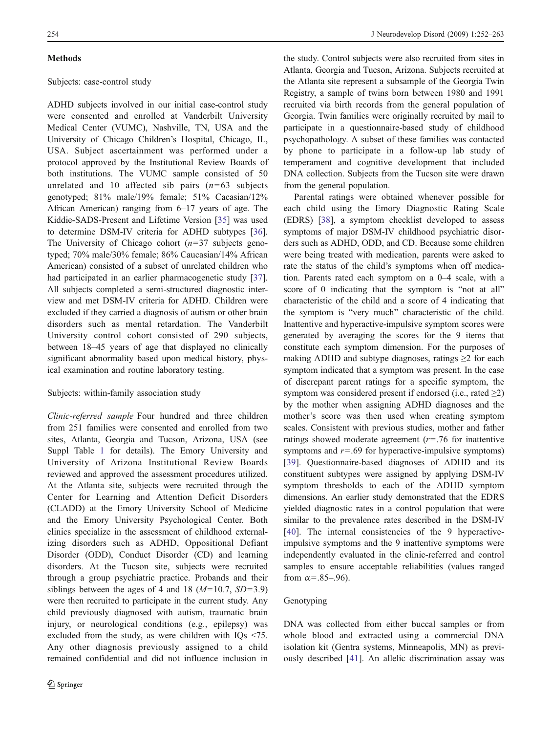## <span id="page-2-0"></span>**Methods**

# Subjects: case-control study

ADHD subjects involved in our initial case-control study were consented and enrolled at Vanderbilt University Medical Center (VUMC), Nashville, TN, USA and the University of Chicago Children's Hospital, Chicago, IL, USA. Subject ascertainment was performed under a protocol approved by the Institutional Review Boards of both institutions. The VUMC sample consisted of 50 unrelated and 10 affected sib pairs  $(n=63$  subjects genotyped; 81% male/19% female; 51% Cacasian/12% African American) ranging from 6–17 years of age. The Kiddie-SADS-Present and Lifetime Version [\[35](#page-10-0)] was used to determine DSM-IV criteria for ADHD subtypes [\[36](#page-10-0)]. The University of Chicago cohort  $(n=37)$  subjects genotyped; 70% male/30% female; 86% Caucasian/14% African American) consisted of a subset of unrelated children who had participated in an earlier pharmacogenetic study [\[37](#page-10-0)]. All subjects completed a semi-structured diagnostic interview and met DSM-IV criteria for ADHD. Children were excluded if they carried a diagnosis of autism or other brain disorders such as mental retardation. The Vanderbilt University control cohort consisted of 290 subjects, between 18–45 years of age that displayed no clinically significant abnormality based upon medical history, physical examination and routine laboratory testing.

## Subjects: within-family association study

Clinic-referred sample Four hundred and three children from 251 families were consented and enrolled from two sites, Atlanta, Georgia and Tucson, Arizona, USA (see Suppl Table 1 for details). The Emory University and University of Arizona Institutional Review Boards reviewed and approved the assessment procedures utilized. At the Atlanta site, subjects were recruited through the Center for Learning and Attention Deficit Disorders (CLADD) at the Emory University School of Medicine and the Emory University Psychological Center. Both clinics specialize in the assessment of childhood externalizing disorders such as ADHD, Oppositional Defiant Disorder (ODD), Conduct Disorder (CD) and learning disorders. At the Tucson site, subjects were recruited through a group psychiatric practice. Probands and their siblings between the ages of 4 and 18  $(M=10.7, SD=3.9)$ were then recruited to participate in the current study. Any child previously diagnosed with autism, traumatic brain injury, or neurological conditions (e.g., epilepsy) was excluded from the study, as were children with IQs <75. Any other diagnosis previously assigned to a child remained confidential and did not influence inclusion in

the study. Control subjects were also recruited from sites in Atlanta, Georgia and Tucson, Arizona. Subjects recruited at the Atlanta site represent a subsample of the Georgia Twin Registry, a sample of twins born between 1980 and 1991 recruited via birth records from the general population of Georgia. Twin families were originally recruited by mail to participate in a questionnaire-based study of childhood psychopathology. A subset of these families was contacted by phone to participate in a follow-up lab study of temperament and cognitive development that included DNA collection. Subjects from the Tucson site were drawn from the general population.

Parental ratings were obtained whenever possible for each child using the Emory Diagnostic Rating Scale (EDRS) [[38\]](#page-10-0), a symptom checklist developed to assess symptoms of major DSM-IV childhood psychiatric disorders such as ADHD, ODD, and CD. Because some children were being treated with medication, parents were asked to rate the status of the child's symptoms when off medication. Parents rated each symptom on a 0–4 scale, with a score of 0 indicating that the symptom is "not at all" characteristic of the child and a score of 4 indicating that the symptom is "very much" characteristic of the child. Inattentive and hyperactive-impulsive symptom scores were generated by averaging the scores for the 9 items that constitute each symptom dimension. For the purposes of making ADHD and subtype diagnoses, ratings  $\geq 2$  for each symptom indicated that a symptom was present. In the case of discrepant parent ratings for a specific symptom, the symptom was considered present if endorsed (i.e., rated  $\geq$ 2) by the mother when assigning ADHD diagnoses and the mother's score was then used when creating symptom scales. Consistent with previous studies, mother and father ratings showed moderate agreement  $(r=.76$  for inattentive symptoms and  $r = .69$  for hyperactive-impulsive symptoms) [\[39](#page-10-0)]. Questionnaire-based diagnoses of ADHD and its constituent subtypes were assigned by applying DSM-IV symptom thresholds to each of the ADHD symptom dimensions. An earlier study demonstrated that the EDRS yielded diagnostic rates in a control population that were similar to the prevalence rates described in the DSM-IV [\[40\]](#page-10-0). The internal consistencies of the 9 hyperactiveimpulsive symptoms and the 9 inattentive symptoms were independently evaluated in the clinic-referred and control samples to ensure acceptable reliabilities (values ranged from  $\alpha = .85-.96$ ).

# Genotyping

DNA was collected from either buccal samples or from whole blood and extracted using a commercial DNA isolation kit (Gentra systems, Minneapolis, MN) as previously described [\[41](#page-10-0)]. An allelic discrimination assay was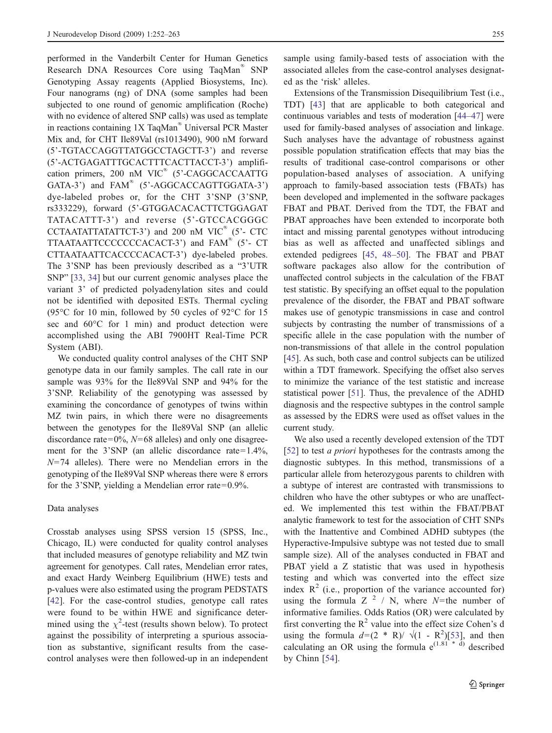performed in the Vanderbilt Center for Human Genetics Research DNA Resources Core using TaqMan® SNP Genotyping Assay reagents (Applied Biosystems, Inc). Four nanograms (ng) of DNA (some samples had been subjected to one round of genomic amplification (Roche) with no evidence of altered SNP calls) was used as template in reactions containing 1X TaqMan® Universal PCR Master Mix and, for CHT Ile89Val (rs1013490), 900 nM forward (5'-TGTACCAGGTTATGGCCTAGCTT-3') and reverse (5'-ACTGAGATTTGCACTTTCACTTACCT-3') amplification primers, 200 nM VIC<sup>®</sup> (5'-CAGGCACCAATTG GATA-3') and FAM<sup>®</sup> (5'-AGGCACCAGTTGGATA-3') dye-labeled probes or, for the CHT 3'SNP (3'SNP, rs333229), forward (5'-GTGGACACACTTCTGGAGAT TATACATTT-3') and reverse (5'-GTCCACGGGC CCTAATATTATATTCT-3') and 200 nM VIC® (5'- CTC TTAATAATTCCCCCCCACACT-3') and FAM® (5'- CT CTTAATAATTCACCCCACACT-3') dye-labeled probes. The 3'SNP has been previously described as a "3'UTR SNP" [[33,](#page-10-0) [34\]](#page-10-0) but our current genomic analyses place the variant 3' of predicted polyadenylation sites and could not be identified with deposited ESTs. Thermal cycling (95°C for 10 min, followed by 50 cycles of 92°C for 15 sec and  $60^{\circ}$ C for 1 min) and product detection were accomplished using the ABI 7900HT Real-Time PCR System (ABI).

We conducted quality control analyses of the CHT SNP genotype data in our family samples. The call rate in our sample was 93% for the Ile89Val SNP and 94% for the 3'SNP. Reliability of the genotyping was assessed by examining the concordance of genotypes of twins within MZ twin pairs, in which there were no disagreements between the genotypes for the Ile89Val SNP (an allelic discordance rate=0%,  $N=68$  alleles) and only one disagreement for the 3'SNP (an allelic discordance rate=1.4%,  $N=74$  alleles). There were no Mendelian errors in the genotyping of the Ile89Val SNP whereas there were 8 errors for the 3'SNP, yielding a Mendelian error rate=0.9%.

#### Data analyses

Crosstab analyses using SPSS version 15 (SPSS, Inc., Chicago, IL) were conducted for quality control analyses that included measures of genotype reliability and MZ twin agreement for genotypes. Call rates, Mendelian error rates, and exact Hardy Weinberg Equilibrium (HWE) tests and p-values were also estimated using the program PEDSTATS [\[42](#page-10-0)]. For the case-control studies, genotype call rates were found to be within HWE and significance determined using the  $\chi^2$ -test (results shown below). To protect against the possibility of interpreting a spurious association as substantive, significant results from the casecontrol analyses were then followed-up in an independent

sample using family-based tests of association with the associated alleles from the case-control analyses designated as the 'risk' alleles.

Extensions of the Transmission Disequilibrium Test (i.e., TDT) [[43\]](#page-10-0) that are applicable to both categorical and continuous variables and tests of moderation [[44](#page-10-0)–[47\]](#page-10-0) were used for family-based analyses of association and linkage. Such analyses have the advantage of robustness against possible population stratification effects that may bias the results of traditional case-control comparisons or other population-based analyses of association. A unifying approach to family-based association tests (FBATs) has been developed and implemented in the software packages FBAT and PBAT. Derived from the TDT, the FBAT and PBAT approaches have been extended to incorporate both intact and missing parental genotypes without introducing bias as well as affected and unaffected siblings and extended pedigrees [[45,](#page-10-0) [48](#page-10-0)–[50\]](#page-10-0). The FBAT and PBAT software packages also allow for the contribution of unaffected control subjects in the calculation of the FBAT test statistic. By specifying an offset equal to the population prevalence of the disorder, the FBAT and PBAT software makes use of genotypic transmissions in case and control subjects by contrasting the number of transmissions of a specific allele in the case population with the number of non-transmissions of that allele in the control population [\[45](#page-10-0)]. As such, both case and control subjects can be utilized within a TDT framework. Specifying the offset also serves to minimize the variance of the test statistic and increase statistical power [[51\]](#page-10-0). Thus, the prevalence of the ADHD diagnosis and the respective subtypes in the control sample as assessed by the EDRS were used as offset values in the current study.

We also used a recently developed extension of the TDT [\[52](#page-10-0)] to test *a priori* hypotheses for the contrasts among the diagnostic subtypes. In this method, transmissions of a particular allele from heterozygous parents to children with a subtype of interest are contrasted with transmissions to children who have the other subtypes or who are unaffected. We implemented this test within the FBAT/PBAT analytic framework to test for the association of CHT SNPs with the Inattentive and Combined ADHD subtypes (the Hyperactive-Impulsive subtype was not tested due to small sample size). All of the analyses conducted in FBAT and PBAT yield a Z statistic that was used in hypothesis testing and which was converted into the effect size index  $R^2$  (i.e., proportion of the variance accounted for) using the formula  $Z^2$  / N, where N=the number of informative families. Odds Ratios (OR) were calculated by first converting the  $R^2$  value into the effect size Cohen's d using the formula  $d=(2 * R)/\sqrt{(1 - R^2)[53]}$  $d=(2 * R)/\sqrt{(1 - R^2)[53]}$  $d=(2 * R)/\sqrt{(1 - R^2)[53]}$ , and then calculating an OR using the formula  $e^{(1.81 \cdot \pi d)}$  described by Chinn [[54](#page-10-0)].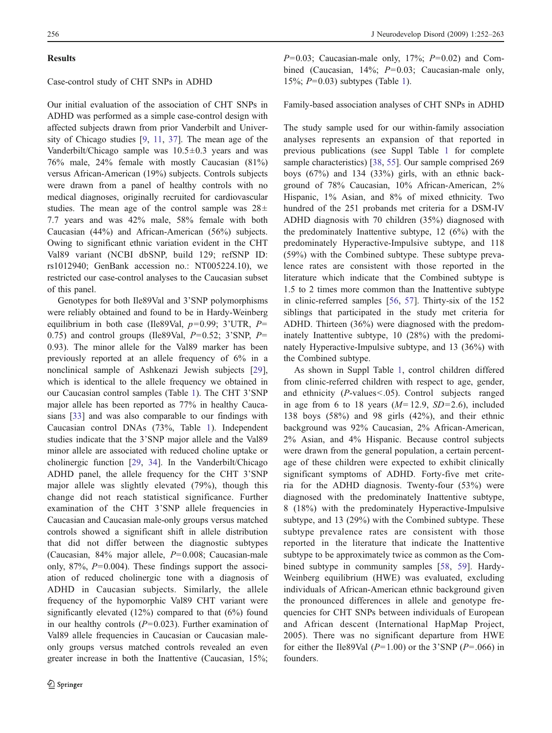#### **Results**

## Case-control study of CHT SNPs in ADHD

Our initial evaluation of the association of CHT SNPs in ADHD was performed as a simple case-control design with affected subjects drawn from prior Vanderbilt and University of Chicago studies [[9,](#page-9-0) [11](#page-9-0), [37\]](#page-10-0). The mean age of the Vanderbilt/Chicago sample was  $10.5 \pm 0.3$  years and was 76% male, 24% female with mostly Caucasian (81%) versus African-American (19%) subjects. Controls subjects were drawn from a panel of healthy controls with no medical diagnoses, originally recruited for cardiovascular studies. The mean age of the control sample was  $28\pm$ 7.7 years and was 42% male, 58% female with both Caucasian (44%) and African-American (56%) subjects. Owing to significant ethnic variation evident in the CHT Val89 variant (NCBI dbSNP, build 129; refSNP ID: rs1012940; GenBank accession no.: NT005224.10), we restricted our case-control analyses to the Caucasian subset of this panel.

Genotypes for both Ile89Val and 3'SNP polymorphisms were reliably obtained and found to be in Hardy-Weinberg equilibrium in both case (Ile89Val,  $p=0.99$ ; 3'UTR,  $P=$ 0.75) and control groups (Ile89Val,  $P=0.52$ ; 3'SNP,  $P=$ 0.93). The minor allele for the Val89 marker has been previously reported at an allele frequency of 6% in a nonclinical sample of Ashkenazi Jewish subjects [\[29](#page-9-0)], which is identical to the allele frequency we obtained in our Caucasian control samples (Table [1\)](#page-5-0). The CHT 3'SNP major allele has been reported as 77% in healthy Caucasians [\[33](#page-10-0)] and was also comparable to our findings with Caucasian control DNAs (73%, Table [1\)](#page-5-0). Independent studies indicate that the 3'SNP major allele and the Val89 minor allele are associated with reduced choline uptake or cholinergic function [\[29](#page-9-0), [34](#page-10-0)]. In the Vanderbilt/Chicago ADHD panel, the allele frequency for the CHT 3'SNP major allele was slightly elevated (79%), though this change did not reach statistical significance. Further examination of the CHT 3'SNP allele frequencies in Caucasian and Caucasian male-only groups versus matched controls showed a significant shift in allele distribution that did not differ between the diagnostic subtypes (Caucasian,  $84\%$  major allele,  $P=0.008$ ; Caucasian-male only,  $87\%$ ,  $P=0.004$ ). These findings support the association of reduced cholinergic tone with a diagnosis of ADHD in Caucasian subjects. Similarly, the allele frequency of the hypomorphic Val89 CHT variant were significantly elevated (12%) compared to that (6%) found in our healthy controls  $(P=0.023)$ . Further examination of Val89 allele frequencies in Caucasian or Caucasian maleonly groups versus matched controls revealed an even greater increase in both the Inattentive (Caucasian, 15%;

 $P=0.03$ : Caucasian-male only, 17%;  $P=0.02$ ) and Combined (Caucasian, 14%;  $P=0.03$ ; Caucasian-male only, 15%;  $P=0.03$ ) subtypes (Table [1\)](#page-5-0).

## Family-based association analyses of CHT SNPs in ADHD

The study sample used for our within-family association analyses represents an expansion of that reported in previous publications (see Suppl Table 1 for complete sample characteristics) [\[38](#page-10-0), [55](#page-10-0)]. Our sample comprised 269 boys  $(67\%)$  and 134  $(33\%)$  girls, with an ethnic background of 78% Caucasian, 10% African-American, 2% Hispanic, 1% Asian, and 8% of mixed ethnicity. Two hundred of the 251 probands met criteria for a DSM-IV ADHD diagnosis with 70 children (35%) diagnosed with the predominately Inattentive subtype, 12 (6%) with the predominately Hyperactive-Impulsive subtype, and 118 (59%) with the Combined subtype. These subtype prevalence rates are consistent with those reported in the literature which indicate that the Combined subtype is 1.5 to 2 times more common than the Inattentive subtype in clinic-referred samples [\[56](#page-10-0), [57\]](#page-10-0). Thirty-six of the 152 siblings that participated in the study met criteria for ADHD. Thirteen (36%) were diagnosed with the predominately Inattentive subtype, 10 (28%) with the predominately Hyperactive-Impulsive subtype, and 13 (36%) with the Combined subtype.

As shown in Suppl Table 1, control children differed from clinic-referred children with respect to age, gender, and ethnicity (P-values<.05). Control subjects ranged in age from 6 to 18 years  $(M=12.9, SD=2.6)$ , included 138 boys (58%) and 98 girls (42%), and their ethnic background was 92% Caucasian, 2% African-American, 2% Asian, and 4% Hispanic. Because control subjects were drawn from the general population, a certain percentage of these children were expected to exhibit clinically significant symptoms of ADHD. Forty-five met criteria for the ADHD diagnosis. Twenty-four (53%) were diagnosed with the predominately Inattentive subtype, 8 (18%) with the predominately Hyperactive-Impulsive subtype, and 13 (29%) with the Combined subtype. These subtype prevalence rates are consistent with those reported in the literature that indicate the Inattentive subtype to be approximately twice as common as the Combined subtype in community samples [\[58](#page-10-0), [59](#page-10-0)]. Hardy-Weinberg equilibrium (HWE) was evaluated, excluding individuals of African-American ethnic background given the pronounced differences in allele and genotype frequencies for CHT SNPs between individuals of European and African descent (International HapMap Project, 2005). There was no significant departure from HWE for either the Ile89Val ( $P=1.00$ ) or the 3'SNP ( $P=.066$ ) in founders.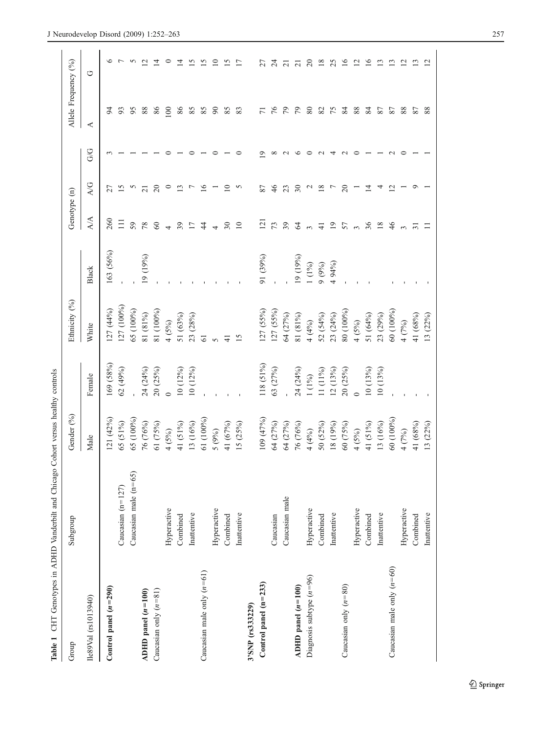<span id="page-5-0"></span>

| Table 1                      | CHT Genotypes in ADHD Vanderbilt and Chicago Cohort versus healthy controls |            |                |               |           |                            |                |     |                      |                |
|------------------------------|-----------------------------------------------------------------------------|------------|----------------|---------------|-----------|----------------------------|----------------|-----|----------------------|----------------|
| Group                        | Subgroup                                                                    | Gender (%) |                | Ethnicity (%) |           | Genotype (n)               |                |     | Allele Frequency (%) |                |
| Ile89Val (rs1013940)         |                                                                             | Male       | Female         | White         | Black     | $\overline{A/A}$           | A/G            | G/G | $\blacktriangleleft$ | U              |
| Control panel $(n=290)$      |                                                                             | 121 (42%)  | 169 (58%)      | 127 (44%)     | 163 (56%) | 260                        | 27             |     |                      |                |
|                              | Caucasian $(n=127)$                                                         | 65 (51%)   | 62(49%)        | 127 (100%)    |           | $\Xi$                      | <u>ی</u>       |     | 93                   |                |
|                              | Caucasian male $(n=65)$                                                     | 65 (100%)  |                | 65 (100%)     |           | 59                         |                |     | 95                   |                |
| ADHD panel $(n=100)$         |                                                                             | 76 (76%)   | 24 (24%)       | 81 (81%)      | 19 (19%)  | 78                         | 21             |     | 88                   |                |
| Caucasian only $(n=81)$      |                                                                             | 61 (75%)   | 20(25%)        | 81 (100%)     |           | $\boldsymbol{\mathcal{S}}$ | $\overline{c}$ |     | 86                   |                |
|                              | Hyperactive                                                                 | $4(5\%)$   | $\overline{0}$ | 4(5%)         |           |                            | $\circ$        |     | 100                  |                |
|                              | Combined                                                                    | 41 (51%)   | 10(12%)        | 51 (63%)      |           | 39                         | $\mathbf{r}$   |     | 86                   |                |
|                              | Inattentive                                                                 | 13 (16%)   | 10(12%)        | 23 (28%)      |           | $\overline{1}$             |                |     | 85                   |                |
| Caucasian male only $(n=61)$ |                                                                             | 61 (100%)  |                | 61            |           | $\ddot{4}$                 | $\geq$         |     | 85                   |                |
|                              | Hyperactive                                                                 | 5(9%)      |                |               |           |                            |                |     | $\infty$             | ≘              |
|                              | Combined                                                                    | 41 (67%)   |                |               |           | $\overline{\mathcal{E}}$   | $\supseteq$    |     | 85                   | ≌              |
|                              | Inattentive                                                                 | 15(25%)    |                |               |           | $\overline{10}$            | S              |     | 83                   |                |
| 3'SNP (rs333229)             |                                                                             |            |                |               |           |                            |                |     |                      |                |
| Control panel $(n=233)$      |                                                                             | 109 (47%)  | 118 (51%)      | 127 (55%)     | 91 (39%)  | $\overline{2}$             | 87             |     | $\overline{7}$       |                |
|                              | Caucasian                                                                   | 64 (27%)   | 63 (27%)       | 127 (55%)     |           | 73                         | 46             |     | 76                   |                |
|                              | Caucasian male                                                              | 64 (27%)   |                | 64 (27%)      |           | 39                         | 23             |     | 79                   |                |
| ADHD panel $(n=100)$         |                                                                             | 76 (76%)   | 24 (24%)       | 81 (81%)      | 19 (19%)  | $\mathcal{L}$              | 30             |     | $\mathcal{L}$        |                |
| Diagnosis subtype $(n=96)$   | Hyperactive                                                                 | 4(4%)      | $1(1\%)$       | 4(4%)         | $1(1\%)$  |                            |                |     | $80\,$               | $\approx$      |
|                              | Combined                                                                    | 50 (52%)   | 11 $(11%)$     | 52 (54%)      | 9(9%)     | $\overline{+}$             | $\frac{8}{2}$  |     | $82\,$               | $\frac{8}{18}$ |
|                              | Inattentive                                                                 | 18 (19%)   | 12(13%)        | 23 (24%)      | 94%)      | $\overline{9}$             |                |     | $75$ $84$            | 25             |
| Caucasian only $(n=80)$      |                                                                             | 60 (75%)   | 20(25%)        | 80 (100%)     |           | 57                         | $\Omega$       |     |                      | $\Xi$          |
|                              | Hyperactive                                                                 | $4(5\%)$   |                | 4(5%)         |           | $\epsilon$                 |                |     | 88                   |                |
|                              | Combined                                                                    | 41 (51%)   | 10(13%)        | 51 (64%)      |           | 36                         |                |     | 84                   | ≌              |
|                              | Inattentive                                                                 | 13 (16%)   | 10(13%         | 23 (29%)      |           | $\overline{18}$            |                |     | 87                   |                |
| Caucasian male only $(n=60)$ |                                                                             | 60 (100%)  |                | 60 (100%)     |           | 46                         |                |     | 87                   |                |
|                              | Hyperactive                                                                 | 4 (7%)     |                | 4(7%)         |           |                            |                |     | 88                   |                |
|                              | Combined                                                                    | 41 (68%)   |                | 41 (68%)      |           | $\overline{5}$             |                |     | 87                   |                |
|                              | Inattentive                                                                 | 13 (22%)   |                | 13 (22%)      |           |                            |                |     | 88                   |                |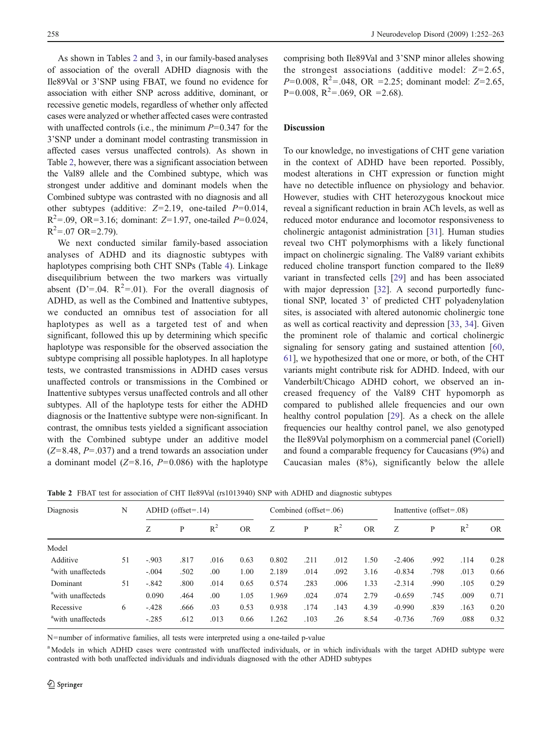As shown in Tables 2 and [3](#page-7-0), in our family-based analyses of association of the overall ADHD diagnosis with the Ile89Val or 3'SNP using FBAT, we found no evidence for association with either SNP across additive, dominant, or recessive genetic models, regardless of whether only affected cases were analyzed or whether affected cases were contrasted with unaffected controls (i.e., the minimum  $P=0.347$  for the 3'SNP under a dominant model contrasting transmission in affected cases versus unaffected controls). As shown in Table 2, however, there was a significant association between the Val89 allele and the Combined subtype, which was strongest under additive and dominant models when the Combined subtype was contrasted with no diagnosis and all other subtypes (additive:  $Z=2.19$ , one-tailed  $P=0.014$ ,  $R^2 = .09$ , OR=3.16; dominant: Z=1.97, one-tailed P=0.024,  $R^2 = .07 \text{ OR} = 2.79$ ).

We next conducted similar family-based association analyses of ADHD and its diagnostic subtypes with haplotypes comprising both CHT SNPs (Table [4\)](#page-7-0). Linkage disequilibrium between the two markers was virtually absent (D'=.04.  $R^2$ =.01). For the overall diagnosis of ADHD, as well as the Combined and Inattentive subtypes, we conducted an omnibus test of association for all haplotypes as well as a targeted test of and when significant, followed this up by determining which specific haplotype was responsible for the observed association the subtype comprising all possible haplotypes. In all haplotype tests, we contrasted transmissions in ADHD cases versus unaffected controls or transmissions in the Combined or Inattentive subtypes versus unaffected controls and all other subtypes. All of the haplotype tests for either the ADHD diagnosis or the Inattentive subtype were non-significant. In contrast, the omnibus tests yielded a significant association with the Combined subtype under an additive model  $(Z=8.48, P=.037)$  and a trend towards an association under a dominant model  $(Z=8.16, P=0.086)$  with the haplotype comprising both Ile89Val and 3'SNP minor alleles showing the strongest associations (additive model:  $Z=2.65$ ,  $P=0.008$ ,  $R^2 = .048$ , OR = 2.25; dominant model: Z=2.65,  $P=0.008$ ,  $R^2=.069$ , OR = 2.68).

# Discussion

To our knowledge, no investigations of CHT gene variation in the context of ADHD have been reported. Possibly, modest alterations in CHT expression or function might have no detectible influence on physiology and behavior. However, studies with CHT heterozygous knockout mice reveal a significant reduction in brain ACh levels, as well as reduced motor endurance and locomotor responsiveness to cholinergic antagonist administration [[31\]](#page-10-0). Human studies reveal two CHT polymorphisms with a likely functional impact on cholinergic signaling. The Val89 variant exhibits reduced choline transport function compared to the Ile89 variant in transfected cells [[29\]](#page-9-0) and has been associated with major depression [\[32](#page-10-0)]. A second purportedly functional SNP, located 3' of predicted CHT polyadenylation sites, is associated with altered autonomic cholinergic tone as well as cortical reactivity and depression [\[33](#page-10-0), [34](#page-10-0)]. Given the prominent role of thalamic and cortical cholinergic signaling for sensory gating and sustained attention [[60,](#page-10-0) [61](#page-10-0)], we hypothesized that one or more, or both, of the CHT variants might contribute risk for ADHD. Indeed, with our Vanderbilt/Chicago ADHD cohort, we observed an increased frequency of the Val89 CHT hypomorph as compared to published allele frequencies and our own healthy control population [[29](#page-9-0)]. As a check on the allele frequencies our healthy control panel, we also genotyped the Ile89Val polymorphism on a commercial panel (Coriell) and found a comparable frequency for Caucasians (9%) and Caucasian males (8%), significantly below the allele

| Diagnosis                     | N  |         | $ADHD$ (offset=.14) |       |           |       | Combined (offset= $.06$ ) |       |           |          | Inattentive (offset= $.08$ ) |       |           |
|-------------------------------|----|---------|---------------------|-------|-----------|-------|---------------------------|-------|-----------|----------|------------------------------|-------|-----------|
|                               |    | Ζ       | P                   | $R^2$ | <b>OR</b> | Ζ     | P                         | $R^2$ | <b>OR</b> | Ζ        | P                            | $R^2$ | <b>OR</b> |
| Model                         |    |         |                     |       |           |       |                           |       |           |          |                              |       |           |
| Additive                      | 51 | $-.903$ | .817                | .016  | 0.63      | 0.802 | .211                      | .012  | 1.50      | $-2.406$ | .992                         | .114  | 0.28      |
| <sup>a</sup> with unaffecteds |    | $-.004$ | .502                | .00   | 1.00      | 2.189 | .014                      | .092  | 3.16      | $-0.834$ | .798                         | .013  | 0.66      |
| Dominant                      | 51 | $-.842$ | .800                | .014  | 0.65      | 0.574 | .283                      | .006  | 1.33      | $-2.314$ | .990                         | .105  | 0.29      |
| <sup>a</sup> with unaffecteds |    | 0.090   | .464                | .00   | 1.05      | 1.969 | .024                      | .074  | 2.79      | $-0.659$ | .745                         | .009  | 0.71      |
| Recessive                     | 6  | $-.428$ | .666                | .03   | 0.53      | 0.938 | .174                      | .143  | 4.39      | $-0.990$ | .839                         | .163  | 0.20      |
| <sup>a</sup> with unaffecteds |    | $-.285$ | .612                | .013  | 0.66      | 1.262 | .103                      | .26   | 8.54      | $-0.736$ | .769                         | .088  | 0.32      |

Table 2 FBAT test for association of CHT Ile89Val (rs1013940) SNP with ADHD and diagnostic subtypes

N=number of informative families, all tests were interpreted using a one-tailed p-value

<sup>a</sup> Models in which ADHD cases were contrasted with unaffected individuals, or in which individuals with the target ADHD subtype were contrasted with both unaffected individuals and individuals diagnosed with the other ADHD subtypes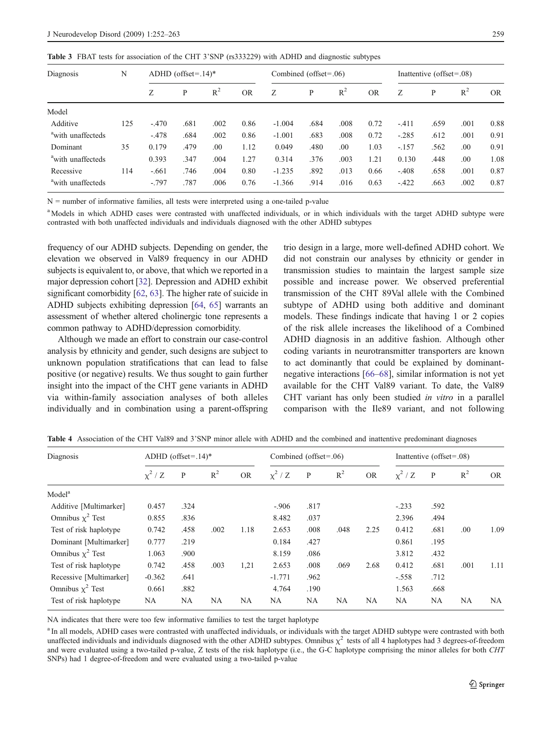<span id="page-7-0"></span>

|  |  |  |  | Table 3 FBAT tests for association of the CHT 3'SNP (rs333229) with ADHD and diagnostic subtypes |  |  |  |  |  |  |  |  |  |  |  |  |
|--|--|--|--|--------------------------------------------------------------------------------------------------|--|--|--|--|--|--|--|--|--|--|--|--|
|--|--|--|--|--------------------------------------------------------------------------------------------------|--|--|--|--|--|--|--|--|--|--|--|--|

| Diagnosis                     | N   |         | ADHD (offset= $.14$ )* |       |           | Combined (offset= $.06$ ) |      |       |           |         | Inattentive (offset= $.08$ ) |       |           |
|-------------------------------|-----|---------|------------------------|-------|-----------|---------------------------|------|-------|-----------|---------|------------------------------|-------|-----------|
|                               |     | Ζ       | P                      | $R^2$ | <b>OR</b> | Ζ                         | P    | $R^2$ | <b>OR</b> | Z       | P                            | $R^2$ | <b>OR</b> |
| Model                         |     |         |                        |       |           |                           |      |       |           |         |                              |       |           |
| Additive                      | 125 | $-.470$ | .681                   | .002  | 0.86      | $-1.004$                  | .684 | .008  | 0.72      | $-.411$ | .659                         | .001  | 0.88      |
| <sup>a</sup> with unaffecteds |     | $-.478$ | .684                   | .002  | 0.86      | $-1.001$                  | .683 | .008  | 0.72      | $-.285$ | .612                         | .001  | 0.91      |
| Dominant                      | 35  | 0.179   | .479                   | .00.  | 1.12      | 0.049                     | .480 | .00   | 1.03      | $-.157$ | .562                         | .00   | 0.91      |
| <sup>a</sup> with unaffecteds |     | 0.393   | .347                   | .004  | 1.27      | 0.314                     | 376  | .003  | 1.21      | 0.130   | .448                         | .00   | 1.08      |
| Recessive                     | 114 | $-.661$ | .746                   | .004  | 0.80      | $-1.235$                  | .892 | .013  | 0.66      | $-.408$ | .658                         | .001  | 0.87      |
| <sup>a</sup> with unaffecteds |     | $-.797$ | .787                   | .006  | 0.76      | $-1.366$                  | .914 | .016  | 0.63      | $-.422$ | .663                         | .002  | 0.87      |

N = number of informative families, all tests were interpreted using a one-tailed p-value

<sup>a</sup> Models in which ADHD cases were contrasted with unaffected individuals, or in which individuals with the target ADHD subtype were contrasted with both unaffected individuals and individuals diagnosed with the other ADHD subtypes

frequency of our ADHD subjects. Depending on gender, the elevation we observed in Val89 frequency in our ADHD subjects is equivalent to, or above, that which we reported in a major depression cohort [\[32](#page-10-0)]. Depression and ADHD exhibit significant comorbidity [\[62,](#page-10-0) [63](#page-10-0)]. The higher rate of suicide in ADHD subjects exhibiting depression [[64,](#page-10-0) [65\]](#page-10-0) warrants an assessment of whether altered cholinergic tone represents a common pathway to ADHD/depression comorbidity.

Although we made an effort to constrain our case-control analysis by ethnicity and gender, such designs are subject to unknown population stratifications that can lead to false positive (or negative) results. We thus sought to gain further insight into the impact of the CHT gene variants in ADHD via within-family association analyses of both alleles individually and in combination using a parent-offspring

trio design in a large, more well-defined ADHD cohort. We did not constrain our analyses by ethnicity or gender in transmission studies to maintain the largest sample size possible and increase power. We observed preferential transmission of the CHT 89Val allele with the Combined subtype of ADHD using both additive and dominant models. These findings indicate that having 1 or 2 copies of the risk allele increases the likelihood of a Combined ADHD diagnosis in an additive fashion. Although other coding variants in neurotransmitter transporters are known to act dominantly that could be explained by dominantnegative interactions [\[66](#page-10-0)–[68](#page-11-0)], similar information is not yet available for the CHT Val89 variant. To date, the Val89 CHT variant has only been studied in vitro in a parallel comparison with the Ile89 variant, and not following

| Diagnosis               |          | ADHD (offset= $.14$ )* |       |           |              | Combined (offset= $.06$ ) |       |           | Inattentive (offset=.08) |      |       |      |  |
|-------------------------|----------|------------------------|-------|-----------|--------------|---------------------------|-------|-----------|--------------------------|------|-------|------|--|
|                         | $x^2/Z$  | P                      | $R^2$ | <b>OR</b> | $\chi^2$ / Z | P                         | $R^2$ | <b>OR</b> | $x^2/Z$                  | P    | $R^2$ | OR.  |  |
| Model <sup>a</sup>      |          |                        |       |           |              |                           |       |           |                          |      |       |      |  |
| Additive [Multimarker]  | 0.457    | .324                   |       |           | $-.906$      | .817                      |       |           | $-.233$                  | .592 |       |      |  |
| Omnibus $\chi^2$ Test   | 0.855    | .836                   |       |           | 8.482        | .037                      |       |           | 2.396                    | .494 |       |      |  |
| Test of risk haplotype  | 0.742    | .458                   | .002  | 1.18      | 2.653        | .008                      | .048  | 2.25      | 0.412                    | .681 | .00   | 1.09 |  |
| Dominant [Multimarker]  | 0.777    | .219                   |       |           | 0.184        | .427                      |       |           | 0.861                    | .195 |       |      |  |
| Omnibus $\chi^2$ Test   | 1.063    | .900                   |       |           | 8.159        | .086                      |       |           | 3.812                    | .432 |       |      |  |
| Test of risk haplotype  | 0.742    | .458                   | .003  | 1,21      | 2.653        | .008                      | .069  | 2.68      | 0.412                    | .681 | .001  | 1.11 |  |
| Recessive [Multimarker] | $-0.362$ | .641                   |       |           | $-1.771$     | .962                      |       |           | $-.558$                  | .712 |       |      |  |
| Omnibus $\chi^2$ Test   | 0.661    | .882                   |       |           | 4.764        | .190                      |       |           | 1.563                    | .668 |       |      |  |
| Test of risk haplotype  | NA       | NA                     | NA    | NA        | NA           | NA                        | NA    | <b>NA</b> | NA                       | NA   | NA    | NA   |  |

Table 4 Association of the CHT Val89 and 3'SNP minor allele with ADHD and the combined and inattentive predominant diagnoses

NA indicates that there were too few informative families to test the target haplotype

<sup>a</sup> In all models, ADHD cases were contrasted with unaffected individuals, or individuals with the target ADHD subtype were contrasted with both unaffected individuals and individuals diagnosed with the other ADHD subtypes. Omnibus  $\chi^2$  tests of all 4 haplotypes had 3 degrees-of-freedom and were evaluated using a two-tailed p-value, Z tests of the risk haplotype (i.e., the G-C haplotype comprising the minor alleles for both CHT SNPs) had 1 degree-of-freedom and were evaluated using a two-tailed p-value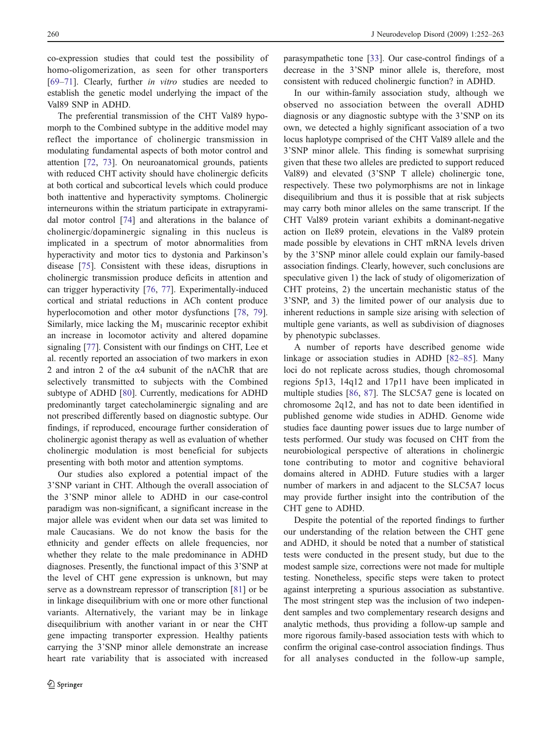co-expression studies that could test the possibility of homo-oligomerization, as seen for other transporters [\[69](#page-11-0)–[71](#page-11-0)]. Clearly, further in vitro studies are needed to establish the genetic model underlying the impact of the Val89 SNP in ADHD.

The preferential transmission of the CHT Val89 hypomorph to the Combined subtype in the additive model may reflect the importance of cholinergic transmission in modulating fundamental aspects of both motor control and attention [[72,](#page-11-0) [73\]](#page-11-0). On neuroanatomical grounds, patients with reduced CHT activity should have cholinergic deficits at both cortical and subcortical levels which could produce both inattentive and hyperactivity symptoms. Cholinergic interneurons within the striatum participate in extrapyramidal motor control [[74\]](#page-11-0) and alterations in the balance of cholinergic/dopaminergic signaling in this nucleus is implicated in a spectrum of motor abnormalities from hyperactivity and motor tics to dystonia and Parkinson's disease [[75\]](#page-11-0). Consistent with these ideas, disruptions in cholinergic transmission produce deficits in attention and can trigger hyperactivity [[76,](#page-11-0) [77](#page-11-0)]. Experimentally-induced cortical and striatal reductions in ACh content produce hyperlocomotion and other motor dysfunctions [[78,](#page-11-0) [79](#page-11-0)]. Similarly, mice lacking the  $M_1$  muscarinic receptor exhibit an increase in locomotor activity and altered dopamine signaling [\[77](#page-11-0)]. Consistent with our findings on CHT, Lee et al. recently reported an association of two markers in exon 2 and intron 2 of the α4 subunit of the nAChR that are selectively transmitted to subjects with the Combined subtype of ADHD [\[80](#page-11-0)]. Currently, medications for ADHD predominantly target catecholaminergic signaling and are not prescribed differently based on diagnostic subtype. Our findings, if reproduced, encourage further consideration of cholinergic agonist therapy as well as evaluation of whether cholinergic modulation is most beneficial for subjects presenting with both motor and attention symptoms.

Our studies also explored a potential impact of the 3'SNP variant in CHT. Although the overall association of the 3'SNP minor allele to ADHD in our case-control paradigm was non-significant, a significant increase in the major allele was evident when our data set was limited to male Caucasians. We do not know the basis for the ethnicity and gender effects on allele frequencies, nor whether they relate to the male predominance in ADHD diagnoses. Presently, the functional impact of this 3'SNP at the level of CHT gene expression is unknown, but may serve as a downstream repressor of transcription [\[81](#page-11-0)] or be in linkage disequilibrium with one or more other functional variants. Alternatively, the variant may be in linkage disequilibrium with another variant in or near the CHT gene impacting transporter expression. Healthy patients carrying the 3'SNP minor allele demonstrate an increase heart rate variability that is associated with increased

parasympathetic tone [\[33](#page-10-0)]. Our case-control findings of a decrease in the 3'SNP minor allele is, therefore, most consistent with reduced cholinergic function? in ADHD.

In our within-family association study, although we observed no association between the overall ADHD diagnosis or any diagnostic subtype with the 3'SNP on its own, we detected a highly significant association of a two locus haplotype comprised of the CHT Val89 allele and the 3'SNP minor allele. This finding is somewhat surprising given that these two alleles are predicted to support reduced Val89) and elevated (3'SNP T allele) cholinergic tone, respectively. These two polymorphisms are not in linkage disequilibrium and thus it is possible that at risk subjects may carry both minor alleles on the same transcript. If the CHT Val89 protein variant exhibits a dominant-negative action on Ile89 protein, elevations in the Val89 protein made possible by elevations in CHT mRNA levels driven by the 3'SNP minor allele could explain our family-based association findings. Clearly, however, such conclusions are speculative given 1) the lack of study of oligomerization of CHT proteins, 2) the uncertain mechanistic status of the 3'SNP, and 3) the limited power of our analysis due to inherent reductions in sample size arising with selection of multiple gene variants, as well as subdivision of diagnoses by phenotypic subclasses.

A number of reports have described genome wide linkage or association studies in ADHD [\[82](#page-11-0)–[85](#page-11-0)]. Many loci do not replicate across studies, though chromosomal regions 5p13, 14q12 and 17p11 have been implicated in multiple studies [[86,](#page-11-0) [87\]](#page-11-0). The SLC5A7 gene is located on chromosome 2q12, and has not to date been identified in published genome wide studies in ADHD. Genome wide studies face daunting power issues due to large number of tests performed. Our study was focused on CHT from the neurobiological perspective of alterations in cholinergic tone contributing to motor and cognitive behavioral domains altered in ADHD. Future studies with a larger number of markers in and adjacent to the SLC5A7 locus may provide further insight into the contribution of the CHT gene to ADHD.

Despite the potential of the reported findings to further our understanding of the relation between the CHT gene and ADHD, it should be noted that a number of statistical tests were conducted in the present study, but due to the modest sample size, corrections were not made for multiple testing. Nonetheless, specific steps were taken to protect against interpreting a spurious association as substantive. The most stringent step was the inclusion of two independent samples and two complementary research designs and analytic methods, thus providing a follow-up sample and more rigorous family-based association tests with which to confirm the original case-control association findings. Thus for all analyses conducted in the follow-up sample,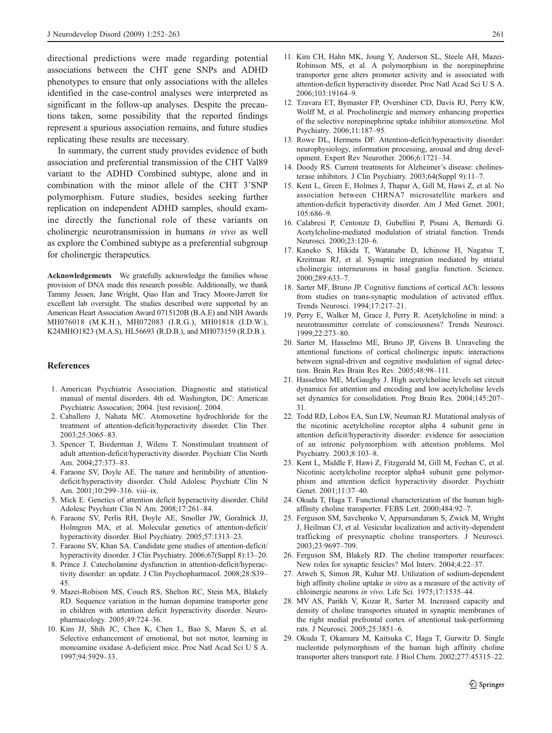<span id="page-9-0"></span>directional predictions were made regarding potential associations between the CHT gene SNPs and ADHD phenotypes to ensure that only associations with the alleles identified in the case-control analyses were interpreted as significant in the follow-up analyses. Despite the precautions taken, some possibility that the reported findings represent a spurious association remains, and future studies replicating these results are necessary.

In summary, the current study provides evidence of both association and preferential transmission of the CHT Val89 variant to the ADHD Combined subtype, alone and in combination with the minor allele of the CHT 3'SNP polymorphism. Future studies, besides seeking further replication on independent ADHD samples, should examine directly the functional role of these variants on cholinergic neurotransmission in humans in vivo as well as explore the Combined subtype as a preferential subgroup for cholinergic therapeutics.

Acknowledgements We gratefully acknowledge the families whose provision of DNA made this research possible. Additionally, we thank Tammy Jessen, Jane Wright, Qiao Han and Tracy Moore-Jarrett for excellent lab oversight. The studies described were supported by an American Heart Association Award 0715120B (B.A.E) and NIH Awards MH076018 (M.K.H.), MH072083 (I.R.G.), MH01818 (I.D.W.), K24MHO1823 (M.A.S), HL56693 (R.D.B.), and MH073159 (R.D.B.).

### References

- 1. American Psychiatric Association. Diagnostic and statistical manual of mental disorders. 4th ed. Washington, DC: American Psychiatric Assocation; 2004. [test revision[. 2004.
- 2. Caballero J, Nahata MC. Atomoxetine hydrochloride for the treatment of attention-deficit/hyperactivity disorder. Clin Ther. 2003;25:3065–83.
- 3. Spencer T, Biederman J, Wilens T. Nonstimulant treatment of adult attention-deficit/hyperactivity disorder. Psychiatr Clin North Am. 2004;27:373–83.
- 4. Faraone SV, Doyle AE. The nature and heritability of attentiondeficit/hyperactivity disorder. Child Adolesc Psychiatr Clin N Am. 2001;10:299–316. viii–ix.
- 5. Mick E. Genetics of attention deficit hyperactivity disorder. Child Adolesc Psychiatr Clin N Am. 2008;17:261–84.
- 6. Faraone SV, Perlis RH, Doyle AE, Smoller JW, Goralnick JJ, Holmgren MA, et al. Molecular genetics of attention-deficit/ hyperactivity disorder. Biol Psychiatry. 2005;57:1313–23.
- 7. Faraone SV, Khan SA. Candidate gene studies of attention-deficit/ hyperactivity disorder. J Clin Psychiatry. 2006;67(Suppl 8):13–20.
- 8. Prince J. Catecholamine dysfunction in attention-deficit/hyperactivity disorder: an update. J Clin Psychopharmacol. 2008;28:S39– 45.
- 9. Mazei-Robison MS, Couch RS, Shelton RC, Stein MA, Blakely RD. Sequence variation in the human dopamine transporter gene in children with attention deficit hyperactivity disorder. Neuropharmacology. 2005;49:724–36.
- 10. Kim JJ, Shih JC, Chen K, Chen L, Bao S, Maren S, et al. Selective enhancement of emotional, but not motor, learning in monoamine oxidase A-deficient mice. Proc Natl Acad Sci U S A. 1997;94:5929–33.
- 11. Kim CH, Hahn MK, Joung Y, Anderson SL, Steele AH, Mazei-Robinson MS, et al. A polymorphism in the norepinephrine transporter gene alters promoter activity and is associated with attention-deficit hyperactivity disorder. Proc Natl Acad Sci U S A. 2006;103:19164–9.
- 12. Tzavara ET, Bymaster FP, Overshiner CD, Davis RJ, Perry KW, Wolff M, et al. Procholinergic and memory enhancing properties of the selective norepinephrine uptake inhibitor atomoxetine. Mol Psychiatry. 2006;11:187–95.
- 13. Rowe DL, Hermens DF. Attention-deficit/hyperactivity disorder: neurophysiology, information processing, arousal and drug development. Expert Rev Neurother. 2006;6:1721–34.
- 14. Doody RS. Current treatments for Alzheimer's disease: cholinesterase inhibitors. J Clin Psychiatry. 2003;64(Suppl 9):11–7.
- 15. Kent L, Green E, Holmes J, Thapar A, Gill M, Hawi Z, et al. No association between CHRNA7 microsatellite markers and attention-deficit hyperactivity disorder. Am J Med Genet. 2001; 105:686–9.
- 16. Calabresi P, Centonze D, Gubellini P, Pisani A, Bernardi G. Acetylcholine-mediated modulation of striatal function. Trends Neurosci. 2000;23:120–6.
- 17. Kaneko S, Hikida T, Watanabe D, Ichinose H, Nagatsu T, Kreitman RJ, et al. Synaptic integration mediated by striatal cholinergic interneurons in basal ganglia function. Science. 2000;289:633–7.
- 18. Sarter MF, Bruno JP. Cognitive functions of cortical ACh: lessons from studies on trans-synaptic modulation of activated efflux. Trends Neurosci. 1994;17:217–21.
- 19. Perry E, Walker M, Grace J, Perry R. Acetylcholine in mind: a neurotransmitter correlate of consciousness? Trends Neurosci. 1999;22:273–80.
- 20. Sarter M, Hasselmo ME, Bruno JP, Givens B. Unraveling the attentional functions of cortical cholinergic inputs: interactions between signal-driven and cognitive modulation of signal detection. Brain Res Brain Res Rev. 2005;48:98–111.
- 21. Hasselmo ME, McGaughy J. High acetylcholine levels set circuit dynamics for attention and encoding and low acetylcholine levels set dynamics for consolidation. Prog Brain Res. 2004;145:207– 31.
- 22. Todd RD, Lobos EA, Sun LW, Neuman RJ. Mutational analysis of the nicotinic acetylcholine receptor alpha 4 subunit gene in attention deficit/hyperactivity disorder: evidence for association of an intronic polymorphism with attention problems. Mol Psychiatry. 2003;8:103–8.
- 23. Kent L, Middle F, Hawi Z, Fitzgerald M, Gill M, Feehan C, et al. Nicotinic acetylcholine receptor alpha4 subunit gene polymorphism and attention deficit hyperactivity disorder. Psychiatr Genet. 2001;11:37–40.
- 24. Okuda T, Haga T. Functional characterization of the human highaffinity choline transporter. FEBS Lett. 2000;484:92–7.
- 25. Ferguson SM, Savchenko V, Apparsundaram S, Zwick M, Wright J, Heilman CJ, et al. Vesicular localization and activity-dependent trafficking of presynaptic choline transporters. J Neurosci. 2003;23:9697–709.
- 26. Ferguson SM, Blakely RD. The choline transporter resurfaces: New roles for synaptic fesicles? Mol Interv. 2004;4:22–37.
- 27. Atweh S, Simon JR, Kuhar MJ. Utilization of sodium-dependent high affinity choline uptake *in vitro* as a measure of the activity of chloinergic neurons in vivo. Life Sci. 1975;17:1535–44.
- 28. MV AS, Parikh V, Kozar R, Sarter M. Increased capacity and density of choline transportes situated in synaptic membranes of the right medial prefrontal cortex of attentional task-performing rats. J Neurosci. 2005;25:3851–6.
- 29. Okuda T, Okamura M, Kaitsuka C, Haga T, Gurwitz D. Single nucleotide polymorphism of the human high affinity choline transporter alters transport rate. J Biol Chem. 2002;277:45315–22.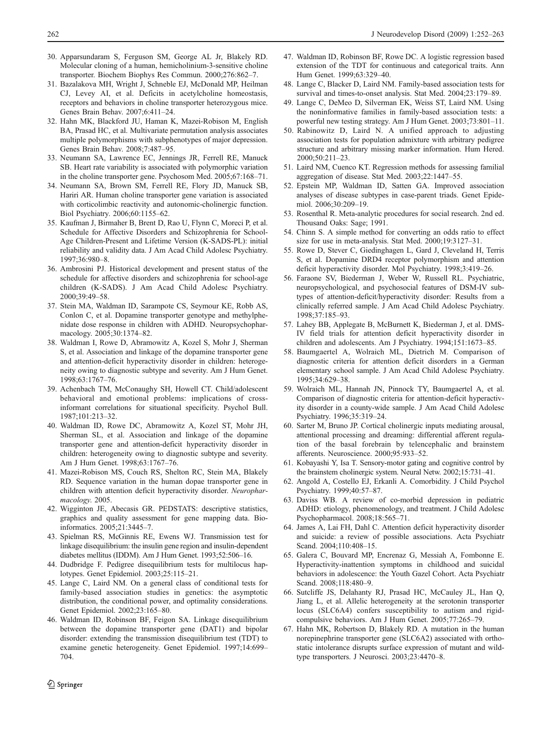- <span id="page-10-0"></span>30. Apparsundaram S, Ferguson SM, George AL Jr, Blakely RD. Molecular cloning of a human, hemicholinium-3-sensitive choline transporter. Biochem Biophys Res Commun. 2000;276:862–7.
- 31. Bazalakova MH, Wright J, Schneble EJ, McDonald MP, Heilman CJ, Levey AI, et al. Deficits in acetylcholine homeostasis, receptors and behaviors in choline transporter heterozygous mice. Genes Brain Behav. 2007;6:411–24.
- 32. Hahn MK, Blackford JU, Haman K, Mazei-Robison M, English BA, Prasad HC, et al. Multivariate permutation analysis associates multiple polymorphisms with subphenotypes of major depression. Genes Brain Behav. 2008;7:487–95.
- 33. Neumann SA, Lawrence EC, Jennings JR, Ferrell RE, Manuck SB. Heart rate variability is associated with polymorphic variation in the choline transporter gene. Psychosom Med. 2005;67:168–71.
- 34. Neumann SA, Brown SM, Ferrell RE, Flory JD, Manuck SB, Hariri AR. Human choline transporter gene variation is associated with corticolimbic reactivity and autonomic-cholinergic function. Biol Psychiatry. 2006;60:1155–62.
- 35. Kaufman J, Birmaher B, Brent D, Rao U, Flynn C, Moreci P, et al. Schedule for Affective Disorders and Schizophrenia for School-Age Children-Present and Lifetime Version (K-SADS-PL): initial reliability and validity data. J Am Acad Child Adolesc Psychiatry. 1997;36:980–8.
- 36. Ambrosini PJ. Historical development and present status of the schedule for affective disorders and schizophrenia for school-age children (K-SADS). J Am Acad Child Adolesc Psychiatry. 2000;39:49–58.
- 37. Stein MA, Waldman ID, Sarampote CS, Seymour KE, Robb AS, Conlon C, et al. Dopamine transporter genotype and methylphenidate dose response in children with ADHD. Neuropsychopharmacology. 2005;30:1374–82.
- 38. Waldman I, Rowe D, Abramowitz A, Kozel S, Mohr J, Sherman S, et al. Association and linkage of the dopamine transporter gene and attention-deficit hyperactivity disorder in children: heterogeneity owing to diagnostic subtype and severity. Am J Hum Genet. 1998;63:1767–76.
- 39. Achenbach TM, McConaughy SH, Howell CT. Child/adolescent behavioral and emotional problems: implications of crossinformant correlations for situational specificity. Psychol Bull. 1987;101:213–32.
- 40. Waldman ID, Rowe DC, Abramowitz A, Kozel ST, Mohr JH, Sherman SL, et al. Association and linkage of the dopamine transporter gene and attention-deficit hyperactivity disorder in children: heterogeneity owing to diagnostic subtype and severity. Am J Hum Genet. 1998;63:1767–76.
- 41. Mazei-Robison MS, Couch RS, Shelton RC, Stein MA, Blakely RD. Sequence variation in the human dopae transporter gene in children with attention deficit hyperactivity disorder. Neuropharmacology. 2005.
- 42. Wigginton JE, Abecasis GR. PEDSTATS: descriptive statistics, graphics and quality assessment for gene mapping data. Bioinformatics. 2005;21:3445–7.
- 43. Spielman RS, McGinnis RE, Ewens WJ. Transmission test for linkage disequilibrium: the insulin gene region and insulin-dependent diabetes mellitus (IDDM). Am J Hum Genet. 1993;52:506–16.
- 44. Dudbridge F. Pedigree disequilibrium tests for multilocus haplotypes. Genet Epidemiol. 2003;25:115–21.
- 45. Lange C, Laird NM. On a general class of conditional tests for family-based association studies in genetics: the asymptotic distribution, the conditional power, and optimality considerations. Genet Epidemiol. 2002;23:165–80.
- 46. Waldman ID, Robinson BF, Feigon SA. Linkage disequilibrium between the dopamine transporter gene (DAT1) and bipolar disorder: extending the transmission disequilibrium test (TDT) to examine genetic heterogeneity. Genet Epidemiol. 1997;14:699– 704.
- 47. Waldman ID, Robinson BF, Rowe DC. A logistic regression based extension of the TDT for continuous and categorical traits. Ann Hum Genet. 1999;63:329–40.
- 48. Lange C, Blacker D, Laird NM. Family-based association tests for survival and times-to-onset analysis. Stat Med. 2004;23:179–89.
- 49. Lange C, DeMeo D, Silverman EK, Weiss ST, Laird NM. Using the noninformative families in family-based association tests: a powerful new testing strategy. Am J Hum Genet. 2003;73:801–11.
- 50. Rabinowitz D, Laird N. A unified approach to adjusting association tests for population admixture with arbitrary pedigree structure and arbitrary missing marker information. Hum Hered. 2000;50:211–23.
- 51. Laird NM, Cuenco KT. Regression methods for assessing familial aggregation of disease. Stat Med. 2003;22:1447–55.
- 52. Epstein MP, Waldman ID, Satten GA. Improved association analyses of disease subtypes in case-parent triads. Genet Epidemiol. 2006;30:209–19.
- 53. Rosenthal R. Meta-analytic procedures for social research. 2nd ed. Thousand Oaks: Sage; 1991.
- 54. Chinn S. A simple method for converting an odds ratio to effect size for use in meta-analysis. Stat Med. 2000;19:3127–31.
- 55. Rowe D, Stever C, Giedinghagen L, Gard J, Cleveland H, Terris S, et al. Dopamine DRD4 receptor polymorphism and attention deficit hyperactivity disorder. Mol Psychiatry. 1998;3:419–26.
- 56. Faraone SV, Biederman J, Weber W, Russell RL. Psychiatric, neuropsychological, and psychosocial features of DSM-IV subtypes of attention-deficit/hyperactivity disorder: Results from a clinically referred sample. J Am Acad Child Adolesc Psychiatry. 1998;37:185–93.
- 57. Lahey BB, Applegate B, McBurnett K, Biederman J, et al. DMS-IV field trials for attention deficit hyperactivity disorder in children and adolescents. Am J Psychiatry. 1994;151:1673–85.
- 58. Baumgaertel A, Wolraich ML, Dietrich M. Comparison of diagnostic criteria for attention deficit disorders in a German elementary school sample. J Am Acad Child Adolesc Psychiatry. 1995;34:629–38.
- 59. Wolraich ML, Hannah JN, Pinnock TY, Baumgaertel A, et al. Comparison of diagnostic criteria for attention-deficit hyperactivity disorder in a county-wide sample. J Am Acad Child Adolesc Psychiatry. 1996;35:319–24.
- 60. Sarter M, Bruno JP. Cortical cholinergic inputs mediating arousal, attentional processing and dreaming: differential afferent regulation of the basal forebrain by telencephalic and brainstem afferents. Neuroscience. 2000;95:933–52.
- 61. Kobayashi Y, Isa T. Sensory-motor gating and cognitive control by the brainstem cholinergic system. Neural Netw. 2002;15:731–41.
- 62. Angold A, Costello EJ, Erkanli A. Comorbidity. J Child Psychol Psychiatry. 1999;40:57–87.
- 63. Daviss WB. A review of co-morbid depression in pediatric ADHD: etiology, phenomenology, and treatment. J Child Adolesc Psychopharmacol. 2008;18:565–71.
- 64. James A, Lai FH, Dahl C. Attention deficit hyperactivity disorder and suicide: a review of possible associations. Acta Psychiatr Scand. 2004;110:408–15.
- 65. Galera C, Bouvard MP, Encrenaz G, Messiah A, Fombonne E. Hyperactivity-inattention symptoms in childhood and suicidal behaviors in adolescence: the Youth Gazel Cohort. Acta Psychiatr Scand. 2008;118:480–9.
- 66. Sutcliffe JS, Delahanty RJ, Prasad HC, McCauley JL, Han Q, Jiang L, et al. Allelic heterogeneity at the serotonin transporter locus (SLC6A4) confers susceptibility to autism and rigidcompulsive behaviors. Am J Hum Genet. 2005;77:265–79.
- 67. Hahn MK, Robertson D, Blakely RD. A mutation in the human norepinephrine transporter gene (SLC6A2) associated with orthostatic intolerance disrupts surface expression of mutant and wildtype transporters. J Neurosci. 2003;23:4470–8.